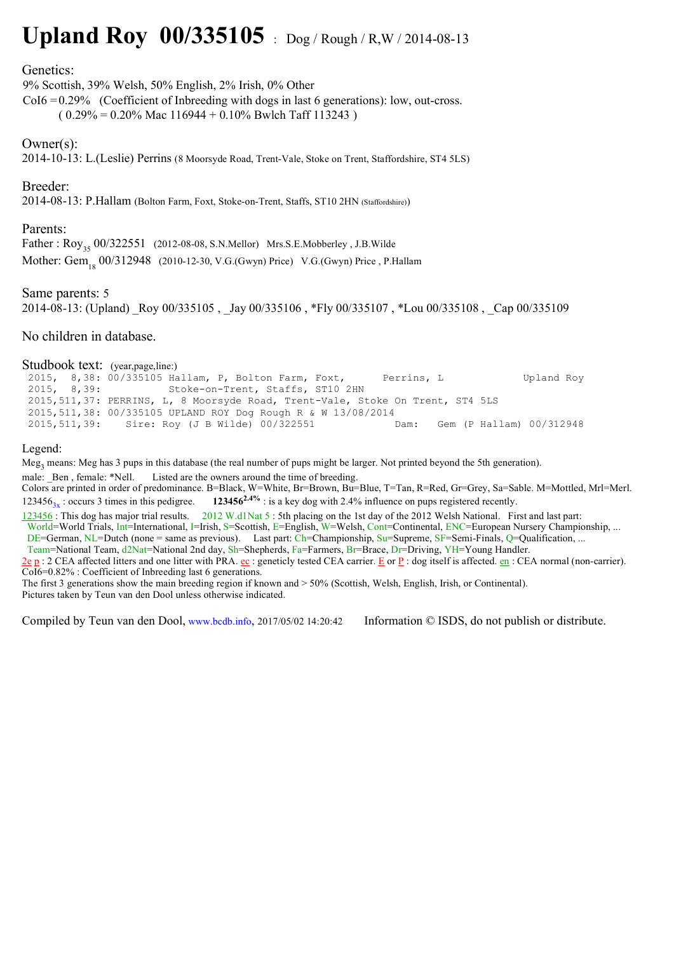# **Upland Roy 00/335105** : Dog / Rough / R,W / 2014-08-13

#### Genetics:

9% Scottish, 39% Welsh, 50% English, 2% Irish, 0% Other

 $CoI6 = 0.29\%$  (Coefficient of Inbreeding with dogs in last 6 generations): low, out-cross.

 $(0.29\% = 0.20\%$  Mac  $116944 + 0.10\%$  Bwlch Taff 113243)

## Owner(s):

2014-10-13: L.(Leslie) Perrins (8 Moorsyde Road, Trent-Vale, Stoke on Trent, Staffordshire, ST4 5LS)

## Breeder:

2014-08-13: P.Hallam (Bolton Farm, Foxt, Stoke-on-Trent, Staffs, ST10 2HN (Staffordshire))

#### Parents:

Father:  $Rov_{35}$  00/322551 (2012-08-08, S.N.Mellor) Mrs.S.E.Mobberley, J.B.Wilde Mother: Gem<sub>19</sub> 00/312948 (2010-12-30, V.G.(Gwyn) Price) V.G.(Gwyn) Price, P.Hallam

## Same parents: 5

2014-08-13: (Upland) Roy 00/335105 , Jay 00/335106 , \*Fly 00/335107 , \*Lou 00/335108 , Cap 00/335109

#### No children in database.

#### Studbook text: (year,page,line:)

 2015, 8,38: 00/335105 Hallam, P, Bolton Farm, Foxt, Perrins, L Upland Roy 2015, 8,39: Stoke-on-Trent, Staffs, ST10 2HN 2015,511,37: PERRINS, L, 8 Moorsyde Road, Trent-Vale, Stoke On Trent, ST4 5LS 2015,511,38: 00/335105 UPLAND ROY Dog Rough R & W 13/08/2014 2015,511,39: Sire: Roy (J B Wilde) 00/322551 Dam: Gem (P Hallam) 00/312948

#### Legend:

Meg<sub>3</sub> means: Meg has 3 pups in this database (the real number of pups might be larger. Not printed beyond the 5th generation).

male: Ben, female: \*Nell. Listed are the owners around the time of breeding.

Colors are printed in order of predominance. B=Black, W=White, Br=Brown, Bu=Blue, T=Tan, R=Red, Gr=Grey, Sa=Sable. M=Mottled, Mrl=Merl. 123456<sub>3x</sub>: occurs 3 times in this pedigree. **123456<sup>2.4%</sup>** : is a key dog with 2.4% influence on pups registered recently.

123456 : This dog has major trial results. 2012 W.d1Nat 5 : 5th placing on the 1st day of the 2012 Welsh National. First and last part: World=World Trials, Int=International, I=Irish, S=Scottish, E=English, W=Welsh, Cont=Continental, ENC=European Nursery Championship, ... DE=German, NL=Dutch (none = same as previous). Last part: Ch=Championship, Su=Supreme, SF=Semi-Finals, Q=Qualification, ... Team=National Team, d2Nat=National 2nd day, Sh=Shepherds, Fa=Farmers, Br=Brace, Dr=Driving, YH=Young Handler.  $\underline{2e}$  p : 2 CEA affected litters and one litter with PRA.  $\underline{e}c$  : geneticly tested CEA carrier.  $\underline{E}$  or  $\underline{P}$  : dog itself is affected.  $\underline{e}n$  : CEA normal (non-carrier). CoI6=0.82% : Coefficient of Inbreeding last 6 generations.

The first 3 generations show the main breeding region if known and > 50% (Scottish, Welsh, English, Irish, or Continental). Pictures taken by Teun van den Dool unless otherwise indicated.

Compiled by Teun van den Dool, www.bcdb.info, 2017/05/02 14:20:42 Information © ISDS, do not publish or distribute.